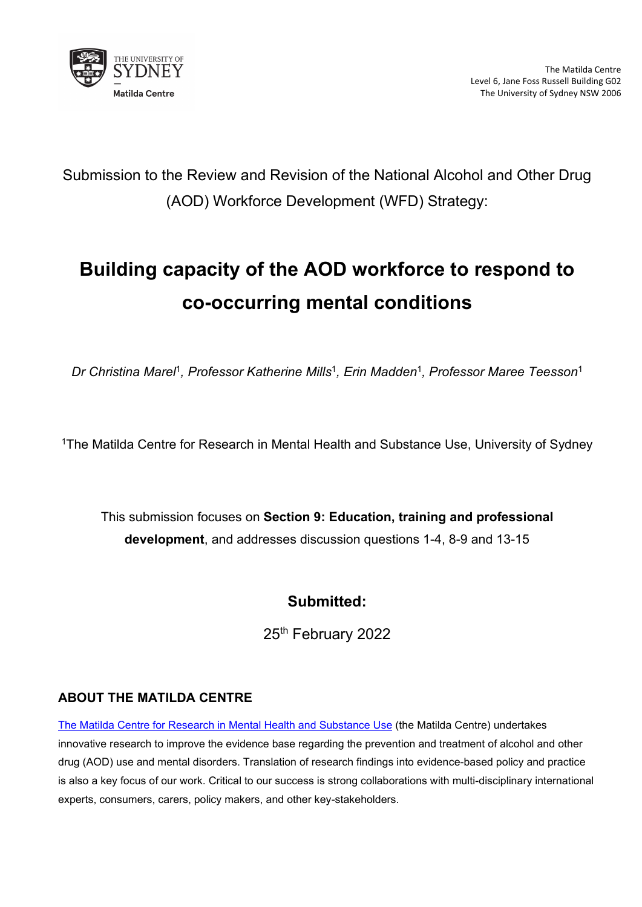

Submission to the Review and Revision of the National Alcohol and Other Drug (AOD) Workforce Development (WFD) Strategy:

# **Building capacity of the AOD workforce to respond to co-occurring mental conditions**

*Dr Christina Marel*<sup>1</sup>*, Professor Katherine Mills*<sup>1</sup>*, Erin Madden*<sup>1</sup>*, Professor Maree Teesson*<sup>1</sup>

<sup>1</sup>The Matilda Centre for Research in Mental Health and Substance Use, University of Sydney

This submission focuses on **Section 9: Education, training and professional development**, and addresses discussion questions 1-4, 8-9 and 13-15

### **Submitted:**

25th February 2022

#### **ABOUT THE MATILDA CENTRE**

[The Matilda Centre for Research in Mental Health and Substance Use](https://www.sydney.edu.au/matilda-centre/) (the Matilda Centre) undertakes innovative research to improve the evidence base regarding the prevention and treatment of alcohol and other drug (AOD) use and mental disorders. Translation of research findings into evidence-based policy and practice is also a key focus of our work. Critical to our success is strong collaborations with multi-disciplinary international experts, consumers, carers, policy makers, and other key-stakeholders.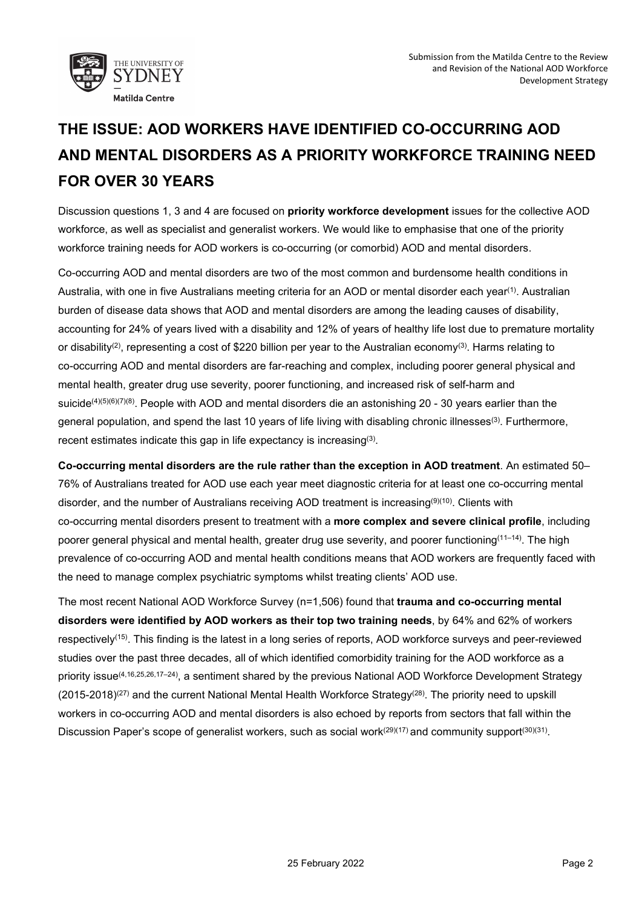

## **THE ISSUE: AOD WORKERS HAVE IDENTIFIED CO-OCCURRING AOD AND MENTAL DISORDERS AS A PRIORITY WORKFORCE TRAINING NEED FOR OVER 30 YEARS**

Discussion questions 1, 3 and 4 are focused on **priority workforce development** issues for the collective AOD workforce, as well as specialist and generalist workers. We would like to emphasise that one of the priority workforce training needs for AOD workers is co-occurring (or comorbid) AOD and mental disorders.

Co-occurring AOD and mental disorders are two of the most common and burdensome health conditions in Australia, with one in five Australians meeting criteria for an AOD or mental disorder each year<sup>(1)</sup>. Australian burden of disease data shows that AOD and mental disorders are among the leading causes of disability, accounting for 24% of years lived with a disability and 12% of years of healthy life lost due to premature mortality or disability<sup>(2)</sup>, representing a cost of \$220 billion per year to the Australian economy<sup>(3)</sup>. Harms relating to co-occurring AOD and mental disorders are far-reaching and complex, including poorer general physical and mental health, greater drug use severity, poorer functioning, and increased risk of self-harm and suicide<sup>(4)(5)(6)(7)(8)</sup>. People with AOD and mental disorders die an astonishing 20 - 30 years earlier than the general population, and spend the last 10 years of life living with disabling chronic illnesses<sup>(3)</sup>. Furthermore, recent estimates indicate this gap in life expectancy is increasing<sup>(3)</sup>.

**Co-occurring mental disorders are the rule rather than the exception in AOD treatment**. An estimated 50– 76% of Australians treated for AOD use each year meet diagnostic criteria for at least one co-occurring mental disorder, and the number of Australians receiving AOD treatment is increasing<sup>(9)(10)</sup>. Clients with co-occurring mental disorders present to treatment with a **more complex and severe clinical profile**, including poorer general physical and mental health, greater drug use severity, and poorer functioning(11–14). The high prevalence of co-occurring AOD and mental health conditions means that AOD workers are frequently faced with the need to manage complex psychiatric symptoms whilst treating clients' AOD use.

The most recent National AOD Workforce Survey (n=1,506) found that **trauma and co-occurring mental disorders were identified by AOD workers as their top two training needs**, by 64% and 62% of workers respectively(15). This finding is the latest in a long series of reports, AOD workforce surveys and peer-reviewed studies over the past three decades, all of which identified comorbidity training for the AOD workforce as a priority issue<sup>(4,16,25,26,17-24)</sup>, a sentiment shared by the previous National AOD Workforce Development Strategy  $(2015-2018)^{(27)}$  and the current National Mental Health Workforce Strategy<sup>(28)</sup>. The priority need to upskill workers in co-occurring AOD and mental disorders is also echoed by reports from sectors that fall within the Discussion Paper's scope of generalist workers, such as social work<sup> $(29)(17)$ </sup> and community support<sup> $(30)(31)$ </sup>.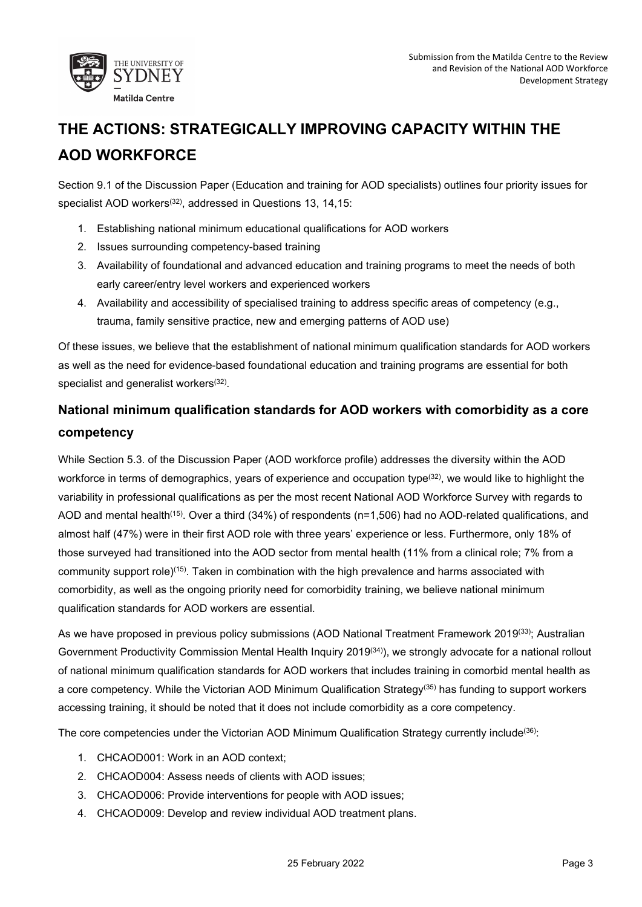

## **THE ACTIONS: STRATEGICALLY IMPROVING CAPACITY WITHIN THE AOD WORKFORCE**

Section 9.1 of the Discussion Paper (Education and training for AOD specialists) outlines four priority issues for specialist AOD workers<sup>(32)</sup>, addressed in Questions 13, 14,15:

- 1. Establishing national minimum educational qualifications for AOD workers
- 2. Issues surrounding competency-based training
- 3. Availability of foundational and advanced education and training programs to meet the needs of both early career/entry level workers and experienced workers
- 4. Availability and accessibility of specialised training to address specific areas of competency (e.g., trauma, family sensitive practice, new and emerging patterns of AOD use)

Of these issues, we believe that the establishment of national minimum qualification standards for AOD workers as well as the need for evidence-based foundational education and training programs are essential for both specialist and generalist workers<sup>(32)</sup>.

### **National minimum qualification standards for AOD workers with comorbidity as a core competency**

While Section 5.3. of the Discussion Paper (AOD workforce profile) addresses the diversity within the AOD workforce in terms of demographics, years of experience and occupation type<sup>(32)</sup>, we would like to highlight the variability in professional qualifications as per the most recent National AOD Workforce Survey with regards to AOD and mental health(15). Over a third (34%) of respondents (n=1,506) had no AOD-related qualifications, and almost half (47%) were in their first AOD role with three years' experience or less. Furthermore, only 18% of those surveyed had transitioned into the AOD sector from mental health (11% from a clinical role; 7% from a community support role)(15). Taken in combination with the high prevalence and harms associated with comorbidity, as well as the ongoing priority need for comorbidity training, we believe national minimum qualification standards for AOD workers are essential.

As we have proposed in previous policy submissions (AOD National Treatment Framework 2019(33); Australian Government Productivity Commission Mental Health Inquiry 2019<sup>(34)</sup>), we strongly advocate for a national rollout of national minimum qualification standards for AOD workers that includes training in comorbid mental health as a core competency. While the Victorian AOD Minimum Qualification Strategy(35) has funding to support workers accessing training, it should be noted that it does not include comorbidity as a core competency.

The core competencies under the Victorian AOD Minimum Qualification Strategy currently include<sup>(36)</sup>:

- 1. CHCAOD001: Work in an AOD context;
- 2. CHCAOD004: Assess needs of clients with AOD issues;
- 3. CHCAOD006: Provide interventions for people with AOD issues;
- 4. CHCAOD009: Develop and review individual AOD treatment plans.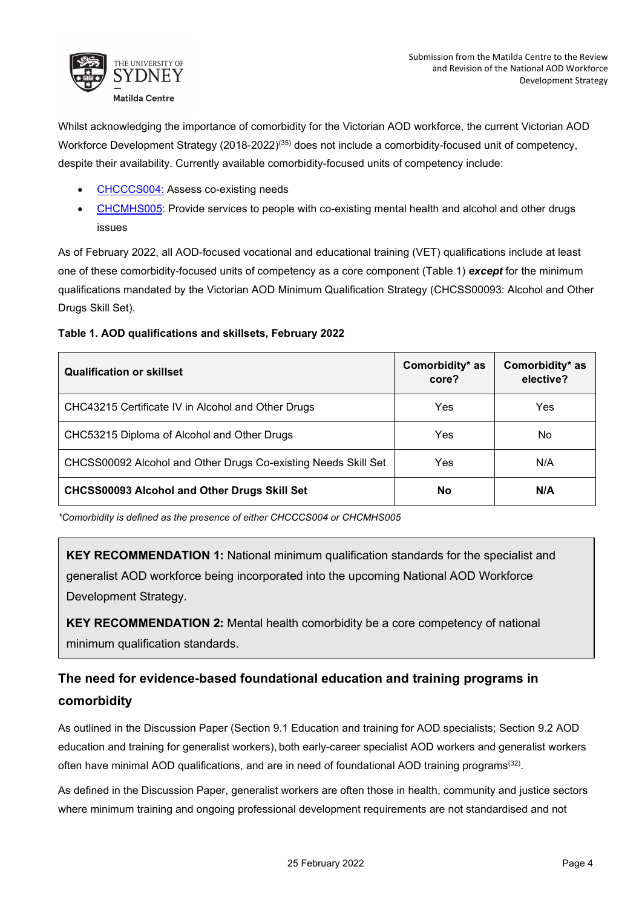

Whilst acknowledging the importance of comorbidity for the Victorian AOD workforce, the current Victorian AOD Workforce Development Strategy (2018-2022)<sup>(35)</sup> does not include a comorbidity-focused unit of competency, despite their availability. Currently available comorbidity-focused units of competency include:

- [CHCCCS004:](https://www.myskills.gov.au/courses/unit?Code=CHCCCS004) Assess co-existing needs
- [CHCMHS005:](https://www.myskills.gov.au/courses/unit?Code=CHCMHS005) Provide services to people with co-existing mental health and alcohol and other drugs issues

As of February 2022, all AOD-focused vocational and educational training (VET) qualifications include at least one of these comorbidity-focused units of competency as a core component (Table 1) *except* for the minimum qualifications mandated by the Victorian AOD Minimum Qualification Strategy (CHCSS00093: Alcohol and Other Drugs Skill Set).

#### **Table 1. AOD qualifications and skillsets, February 2022**

| <b>Qualification or skillset</b>                               | Comorbidity* as<br>core? | Comorbidity* as<br>elective? |
|----------------------------------------------------------------|--------------------------|------------------------------|
| CHC43215 Certificate IV in Alcohol and Other Drugs             | Yes                      | Yes                          |
| CHC53215 Diploma of Alcohol and Other Drugs                    | Yes                      | No.                          |
| CHCSS00092 Alcohol and Other Drugs Co-existing Needs Skill Set | Yes                      | N/A                          |
| <b>CHCSS00093 Alcohol and Other Drugs Skill Set</b>            | <b>No</b>                | N/A                          |

*\*Comorbidity is defined as the presence of either CHCCCS004 or CHCMHS005*

**KEY RECOMMENDATION 1:** National minimum qualification standards for the specialist and generalist AOD workforce being incorporated into the upcoming National AOD Workforce Development Strategy.

**KEY RECOMMENDATION 2:** Mental health comorbidity be a core competency of national minimum qualification standards.

## **The need for evidence-based foundational education and training programs in comorbidity**

As outlined in the Discussion Paper (Section 9.1 Education and training for AOD specialists; Section 9.2 AOD education and training for generalist workers), both early-career specialist AOD workers and generalist workers often have minimal AOD qualifications, and are in need of foundational AOD training programs<sup>(32)</sup>.

As defined in the Discussion Paper, generalist workers are often those in health, community and justice sectors where minimum training and ongoing professional development requirements are not standardised and not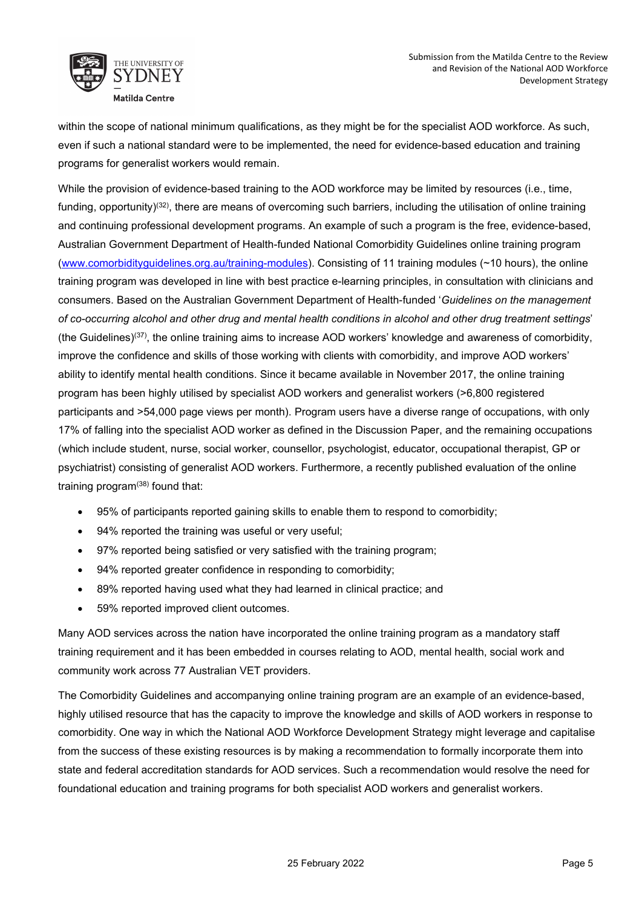

within the scope of national minimum qualifications, as they might be for the specialist AOD workforce. As such, even if such a national standard were to be implemented, the need for evidence-based education and training programs for generalist workers would remain.

While the provision of evidence-based training to the AOD workforce may be limited by resources (i.e., time, funding, opportunity)<sup>(32)</sup>, there are means of overcoming such barriers, including the utilisation of online training and continuing professional development programs. An example of such a program is the free, evidence-based, Australian Government Department of Health-funded National Comorbidity Guidelines online training program [\(www.comorbidityguidelines.org.au/training-modules\)](http://www.comorbidityguidelines.org.au/training-modules). Consisting of 11 training modules (~10 hours), the online training program was developed in line with best practice e-learning principles, in consultation with clinicians and consumers. Based on the Australian Government Department of Health-funded '*Guidelines on the management of co-occurring alcohol and other drug and mental health conditions in alcohol and other drug treatment settings*' (the Guidelines)(37), the online training aims to increase AOD workers' knowledge and awareness of comorbidity, improve the confidence and skills of those working with clients with comorbidity, and improve AOD workers' ability to identify mental health conditions. Since it became available in November 2017, the online training program has been highly utilised by specialist AOD workers and generalist workers (>6,800 registered participants and >54,000 page views per month). Program users have a diverse range of occupations, with only 17% of falling into the specialist AOD worker as defined in the Discussion Paper, and the remaining occupations (which include student, nurse, social worker, counsellor, psychologist, educator, occupational therapist, GP or psychiatrist) consisting of generalist AOD workers. Furthermore, a recently published evaluation of the online training program $(38)$  found that:

- 95% of participants reported gaining skills to enable them to respond to comorbidity;
- 94% reported the training was useful or very useful;
- 97% reported being satisfied or very satisfied with the training program;
- 94% reported greater confidence in responding to comorbidity;
- 89% reported having used what they had learned in clinical practice; and
- 59% reported improved client outcomes.

Many AOD services across the nation have incorporated the online training program as a mandatory staff training requirement and it has been embedded in courses relating to AOD, mental health, social work and community work across 77 Australian VET providers.

The Comorbidity Guidelines and accompanying online training program are an example of an evidence-based, highly utilised resource that has the capacity to improve the knowledge and skills of AOD workers in response to comorbidity. One way in which the National AOD Workforce Development Strategy might leverage and capitalise from the success of these existing resources is by making a recommendation to formally incorporate them into state and federal accreditation standards for AOD services. Such a recommendation would resolve the need for foundational education and training programs for both specialist AOD workers and generalist workers.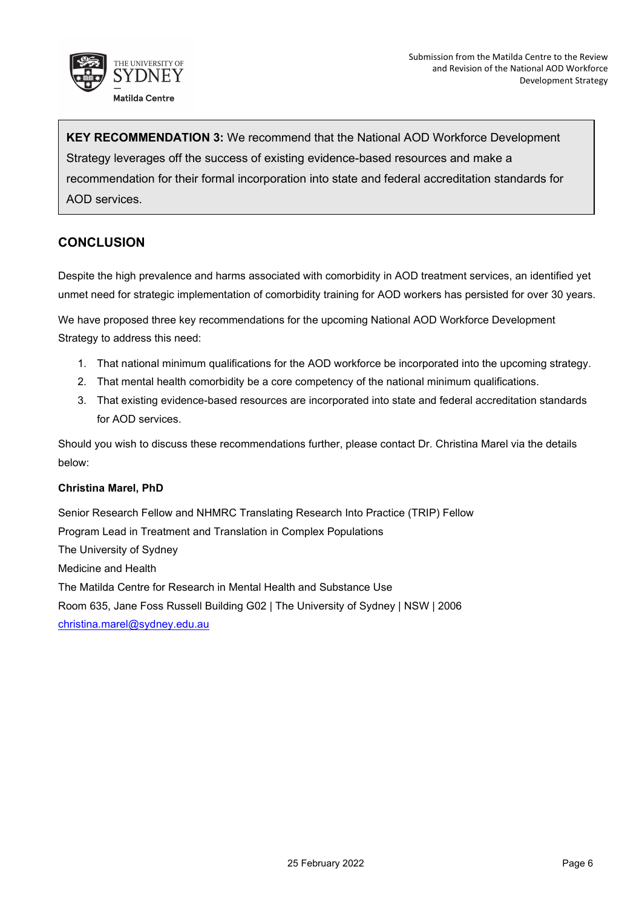

**KEY RECOMMENDATION 3:** We recommend that the National AOD Workforce Development Strategy leverages off the success of existing evidence-based resources and make a recommendation for their formal incorporation into state and federal accreditation standards for AOD services.

#### **CONCLUSION**

Despite the high prevalence and harms associated with comorbidity in AOD treatment services, an identified yet unmet need for strategic implementation of comorbidity training for AOD workers has persisted for over 30 years.

We have proposed three key recommendations for the upcoming National AOD Workforce Development Strategy to address this need:

- 1. That national minimum qualifications for the AOD workforce be incorporated into the upcoming strategy.
- 2. That mental health comorbidity be a core competency of the national minimum qualifications.
- 3. That existing evidence-based resources are incorporated into state and federal accreditation standards for AOD services.

Should you wish to discuss these recommendations further, please contact Dr. Christina Marel via the details below:

#### **Christina Marel, PhD**

Senior Research Fellow and NHMRC Translating Research Into Practice (TRIP) Fellow Program Lead in Treatment and Translation in Complex Populations The University of Sydney Medicine and Health The Matilda Centre for Research in Mental Health and Substance Use Room 635, Jane Foss Russell Building G02 | The University of Sydney | NSW | 2006 [christina.marel@sydney.edu.au](mailto:christina.marel@sydney.edu.au)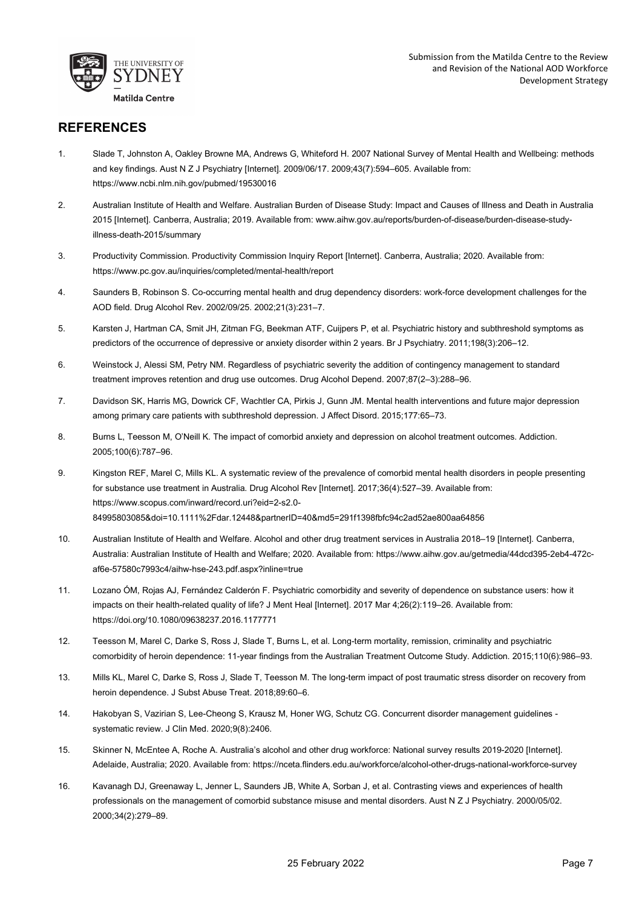

#### **REFERENCES**

- 1. Slade T, Johnston A, Oakley Browne MA, Andrews G, Whiteford H. 2007 National Survey of Mental Health and Wellbeing: methods and key findings. Aust N Z J Psychiatry [Internet]. 2009/06/17. 2009;43(7):594–605. Available from: https://www.ncbi.nlm.nih.gov/pubmed/19530016
- 2. Australian Institute of Health and Welfare. Australian Burden of Disease Study: Impact and Causes of Illness and Death in Australia 2015 [Internet]. Canberra, Australia; 2019. Available from: www.aihw.gov.au/reports/burden-of-disease/burden-disease-studyillness-death-2015/summary
- 3. Productivity Commission. Productivity Commission Inquiry Report [Internet]. Canberra, Australia; 2020. Available from: https://www.pc.gov.au/inquiries/completed/mental-health/report
- 4. Saunders B, Robinson S. Co-occurring mental health and drug dependency disorders: work-force development challenges for the AOD field. Drug Alcohol Rev. 2002/09/25. 2002;21(3):231–7.
- 5. Karsten J, Hartman CA, Smit JH, Zitman FG, Beekman ATF, Cuijpers P, et al. Psychiatric history and subthreshold symptoms as predictors of the occurrence of depressive or anxiety disorder within 2 years. Br J Psychiatry. 2011;198(3):206–12.
- 6. Weinstock J, Alessi SM, Petry NM. Regardless of psychiatric severity the addition of contingency management to standard treatment improves retention and drug use outcomes. Drug Alcohol Depend. 2007;87(2–3):288–96.
- 7. Davidson SK, Harris MG, Dowrick CF, Wachtler CA, Pirkis J, Gunn JM. Mental health interventions and future major depression among primary care patients with subthreshold depression. J Affect Disord. 2015;177:65–73.
- 8. Burns L, Teesson M, O'Neill K. The impact of comorbid anxiety and depression on alcohol treatment outcomes. Addiction. 2005;100(6):787–96.
- 9. Kingston REF, Marel C, Mills KL. A systematic review of the prevalence of comorbid mental health disorders in people presenting for substance use treatment in Australia. Drug Alcohol Rev [Internet]. 2017;36(4):527–39. Available from: https://www.scopus.com/inward/record.uri?eid=2-s2.0- 84995803085&doi=10.1111%2Fdar.12448&partnerID=40&md5=291f1398fbfc94c2ad52ae800aa64856
- 10. Australian Institute of Health and Welfare. Alcohol and other drug treatment services in Australia 2018–19 [Internet]. Canberra, Australia: Australian Institute of Health and Welfare; 2020. Available from: https://www.aihw.gov.au/getmedia/44dcd395-2eb4-472caf6e-57580c7993c4/aihw-hse-243.pdf.aspx?inline=true
- 11. Lozano ÓM, Rojas AJ, Fernández Calderón F. Psychiatric comorbidity and severity of dependence on substance users: how it impacts on their health-related quality of life? J Ment Heal [Internet]. 2017 Mar 4;26(2):119–26. Available from: https://doi.org/10.1080/09638237.2016.1177771
- 12. Teesson M, Marel C, Darke S, Ross J, Slade T, Burns L, et al. Long-term mortality, remission, criminality and psychiatric comorbidity of heroin dependence: 11-year findings from the Australian Treatment Outcome Study. Addiction. 2015;110(6):986–93.
- 13. Mills KL, Marel C, Darke S, Ross J, Slade T, Teesson M. The long-term impact of post traumatic stress disorder on recovery from heroin dependence. J Subst Abuse Treat. 2018;89:60–6.
- 14. Hakobyan S, Vazirian S, Lee-Cheong S, Krausz M, Honer WG, Schutz CG. Concurrent disorder management guidelines systematic review. J Clin Med. 2020;9(8):2406.
- 15. Skinner N, McEntee A, Roche A. Australia's alcohol and other drug workforce: National survey results 2019-2020 [Internet]. Adelaide, Australia; 2020. Available from: https://nceta.flinders.edu.au/workforce/alcohol-other-drugs-national-workforce-survey
- 16. Kavanagh DJ, Greenaway L, Jenner L, Saunders JB, White A, Sorban J, et al. Contrasting views and experiences of health professionals on the management of comorbid substance misuse and mental disorders. Aust N Z J Psychiatry. 2000/05/02. 2000;34(2):279–89.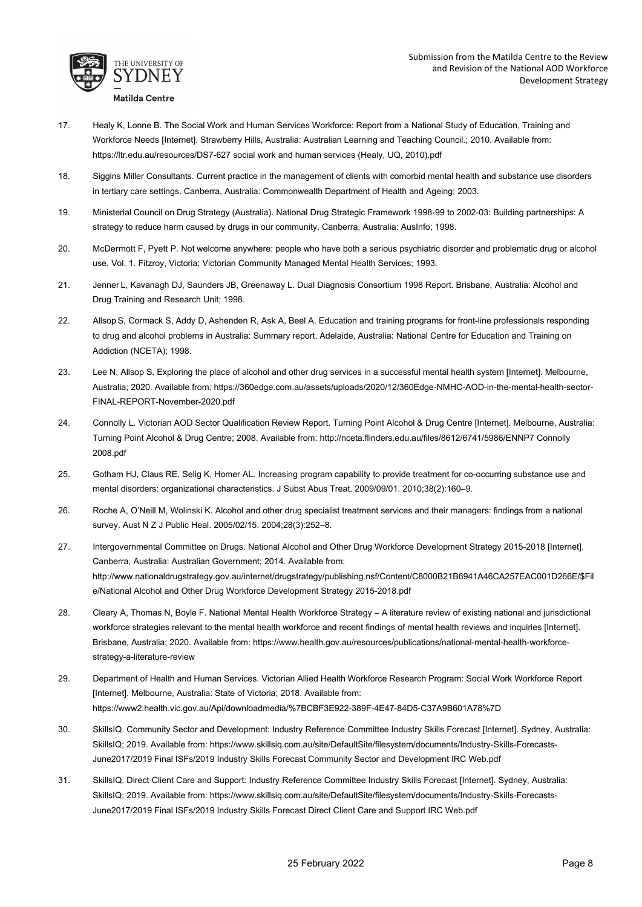

- 17. Healy K, Lonne B. The Social Work and Human Services Workforce: Report from a National Study of Education, Training and Workforce Needs [Internet]. Strawberry Hills, Australia: Australian Learning and Teaching Council.; 2010. Available from: https://ltr.edu.au/resources/DS7-627 social work and human services (Healy, UQ, 2010).pdf
- 18. Siggins Miller Consultants. Current practice in the management of clients with comorbid mental health and substance use disorders in tertiary care settings. Canberra, Australia: Commonwealth Department of Health and Ageing; 2003.
- 19. Ministerial Council on Drug Strategy (Australia). National Drug Strategic Framework 1998-99 to 2002-03: Building partnerships: A strategy to reduce harm caused by drugs in our community. Canberra, Australia: AusInfo; 1998.
- 20. McDermott F, Pyett P. Not welcome anywhere: people who have both a serious psychiatric disorder and problematic drug or alcohol use. Vol. 1. Fitzroy, Victoria: Victorian Community Managed Mental Health Services; 1993.
- 21. Jenner L, Kavanagh DJ, Saunders JB, Greenaway L. Dual Diagnosis Consortium 1998 Report. Brisbane, Australia: Alcohol and Drug Training and Research Unit; 1998.
- 22. Allsop S, Cormack S, Addy D, Ashenden R, Ask A, Beel A. Education and training programs for front-line professionals responding to drug and alcohol problems in Australia: Summary report. Adelaide, Australia: National Centre for Education and Training on Addiction (NCETA); 1998.
- 23. Lee N, Allsop S. Exploring the place of alcohol and other drug services in a successful mental health system [Internet]. Melbourne, Australia; 2020. Available from: https://360edge.com.au/assets/uploads/2020/12/360Edge-NMHC-AOD-in-the-mental-health-sector-FINAL-REPORT-November-2020.pdf
- 24. Connolly L. Victorian AOD Sector Qualification Review Report. Turning Point Alcohol & Drug Centre [Internet]. Melbourne, Australia: Turning Point Alcohol & Drug Centre; 2008. Available from: http://nceta.flinders.edu.au/files/8612/6741/5986/ENNP7 Connolly 2008.pdf
- 25. Gotham HJ, Claus RE, Selig K, Homer AL. Increasing program capability to provide treatment for co-occurring substance use and mental disorders: organizational characteristics. J Subst Abus Treat. 2009/09/01. 2010;38(2):160–9.
- 26. Roche A, O'Neill M, Wolinski K. Alcohol and other drug specialist treatment services and their managers: findings from a national survey. Aust N Z J Public Heal. 2005/02/15. 2004;28(3):252–8.
- 27. Intergovernmental Committee on Drugs. National Alcohol and Other Drug Workforce Development Strategy 2015-2018 [Internet]. Canberra, Australia: Australian Government; 2014. Available from: http://www.nationaldrugstrategy.gov.au/internet/drugstrategy/publishing.nsf/Content/C8000B21B6941A46CA257EAC001D266E/\$Fil e/National Alcohol and Other Drug Workforce Development Strategy 2015-2018.pdf
- 28. Cleary A, Thomas N, Boyle F. National Mental Health Workforce Strategy A literature review of existing national and jurisdictional workforce strategies relevant to the mental health workforce and recent findings of mental health reviews and inquiries [Internet]. Brisbane, Australia; 2020. Available from: https://www.health.gov.au/resources/publications/national-mental-health-workforcestrategy-a-literature-review
- 29. Department of Health and Human Services. Victorian Allied Health Workforce Research Program: Social Work Workforce Report [Internet]. Melbourne, Australia: State of Victoria; 2018. Available from: https://www2.health.vic.gov.au/Api/downloadmedia/%7BCBF3E922-389F-4E47-84D5-C37A9B601A78%7D
- 30. SkillsIQ. Community Sector and Development: Industry Reference Committee Industry Skills Forecast [Internet]. Sydney, Australia: SkillsIQ; 2019. Available from: https://www.skillsiq.com.au/site/DefaultSite/filesystem/documents/Industry-Skills-Forecasts-June2017/2019 Final ISFs/2019 Industry Skills Forecast Community Sector and Development IRC Web.pdf
- 31. SkillsIQ. Direct Client Care and Support: Industry Reference Committee Industry Skills Forecast [Internet]. Sydney, Australia: SkillsIQ; 2019. Available from: https://www.skillsiq.com.au/site/DefaultSite/filesystem/documents/Industry-Skills-Forecasts-June2017/2019 Final ISFs/2019 Industry Skills Forecast Direct Client Care and Support IRC Web.pdf